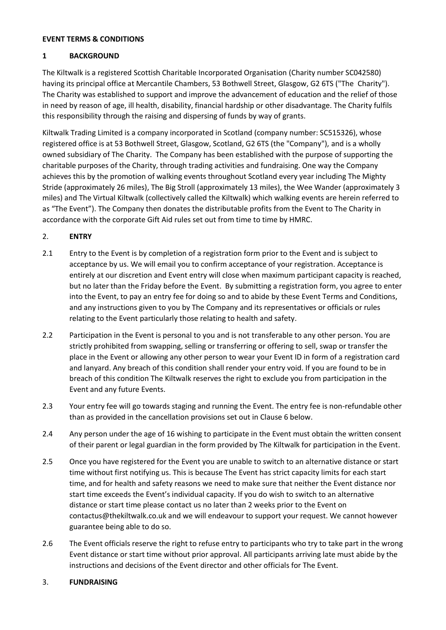#### **EVENT TERMS & CONDITIONS**

## **1 BACKGROUND**

The Kiltwalk is a registered Scottish Charitable Incorporated Organisation (Charity number SC042580) having its principal office at Mercantile Chambers, 53 Bothwell Street, Glasgow, G2 6TS ("The Charity"). The Charity was established to support and improve the advancement of education and the relief of those in need by reason of age, ill health, disability, financial hardship or other disadvantage. The Charity fulfils this responsibility through the raising and dispersing of funds by way of grants.

Kiltwalk Trading Limited is a company incorporated in Scotland (company number: SC515326), whose registered office is at 53 Bothwell Street, Glasgow, Scotland, G2 6TS (the "Company"), and is a wholly owned subsidiary of The Charity. The Company has been established with the purpose of supporting the charitable purposes of the Charity, through trading activities and fundraising. One way the Company achieves this by the promotion of walking events throughout Scotland every year including The Mighty Stride (approximately 26 miles), The Big Stroll (approximately 13 miles), the Wee Wander (approximately 3 miles) and The Virtual Kiltwalk (collectively called the Kiltwalk) which walking events are herein referred to as "The Event"). The Company then donates the distributable profits from the Event to The Charity in accordance with the corporate Gift Aid rules set out from time to time by HMRC.

# 2. **ENTRY**

- 2.1 Entry to the Event is by completion of a registration form prior to the Event and is subject to acceptance by us. We will email you to confirm acceptance of your registration. Acceptance is entirely at our discretion and Event entry will close when maximum participant capacity is reached, but no later than the Friday before the Event. By submitting a registration form, you agree to enter into the Event, to pay an entry fee for doing so and to abide by these Event Terms and Conditions, and any instructions given to you by The Company and its representatives or officials or rules relating to the Event particularly those relating to health and safety.
- 2.2 Participation in the Event is personal to you and is not transferable to any other person. You are strictly prohibited from swapping, selling or transferring or offering to sell, swap or transfer the place in the Event or allowing any other person to wear your Event ID in form of a registration card and lanyard. Any breach of this condition shall render your entry void. If you are found to be in breach of this condition The Kiltwalk reserves the right to exclude you from participation in the Event and any future Events.
- 2.3 Your entry fee will go towards staging and running the Event. The entry fee is non-refundable other than as provided in the cancellation provisions set out in Clause 6 below.
- 2.4 Any person under the age of 16 wishing to participate in the Event must obtain the written consent of their parent or legal guardian in the form provided by The Kiltwalk for participation in the Event.
- 2.5 Once you have registered for the Event you are unable to switch to an alternative distance or start time without first notifying us. This is because The Event has strict capacity limits for each start time, and for health and safety reasons we need to make sure that neither the Event distance nor start time exceeds the Event's individual capacity. If you do wish to switch to an alternative distance or start time please contact us no later than 2 weeks prior to the Event on contactus@thekiltwalk.co.uk and we will endeavour to support your request. We cannot however guarantee being able to do so.
- 2.6 The Event officials reserve the right to refuse entry to participants who try to take part in the wrong Event distance or start time without prior approval. All participants arriving late must abide by the instructions and decisions of the Event director and other officials for The Event.

## 3. **FUNDRAISING**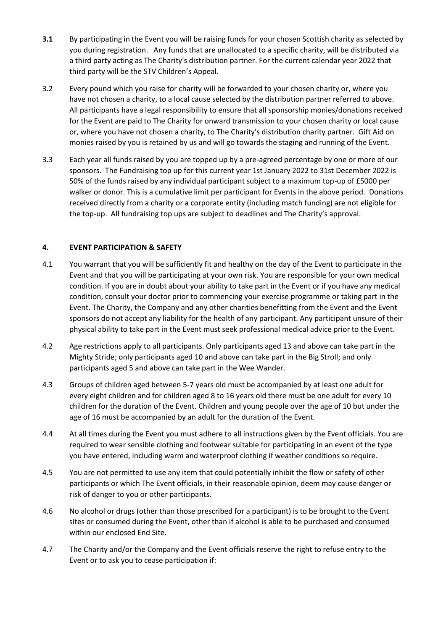- **3.1** By participating in the Event you will be raising funds for your chosen Scottish charity as selected by you during registration. Any funds that are unallocated to a specific charity, will be distributed via a third party acting as The Charity's distribution partner. For the current calendar year 2022 that third party will be the STV Children's Appeal.
- 3.2 Every pound which you raise for charity will be forwarded to your chosen charity or, where you have not chosen a charity, to a local cause selected by the distribution partner referred to above. All participants have a legal responsibility to ensure that all sponsorship monies/donations received for the Event are paid to The Charity for onward transmission to your chosen charity or local cause or, where you have not chosen a charity, to The Charity's distribution charity partner. Gift Aid on monies raised by you is retained by us and will go towards the staging and running of the Event.
- 3.3 Each year all funds raised by you are topped up by a pre-agreed percentage by one or more of our sponsors. The Fundraising top up for this current year 1st January 2022 to 31st December 2022 is 50% of the funds raised by any individual participant subject to a maximum top-up of £5000 per walker or donor. This is a cumulative limit per participant for Events in the above period. Donations received directly from a charity or a corporate entity (including match funding) are not eligible for the top-up. All fundraising top ups are subject to deadlines and The Charity's approval.

## **4. EVENT PARTICIPATION & SAFETY**

- 4.1 You warrant that you will be sufficiently fit and healthy on the day of the Event to participate in the Event and that you will be participating at your own risk. You are responsible for your own medical condition. If you are in doubt about your ability to take part in the Event or if you have any medical condition, consult your doctor prior to commencing your exercise programme or taking part in the Event. The Charity, the Company and any other charities benefitting from the Event and the Event sponsors do not accept any liability for the health of any participant. Any participant unsure of their physical ability to take part in the Event must seek professional medical advice prior to the Event.
- 4.2 Age restrictions apply to all participants. Only participants aged 13 and above can take part in the Mighty Stride; only participants aged 10 and above can take part in the Big Stroll; and only participants aged 5 and above can take part in the Wee Wander.
- 4.3 Groups of children aged between 5-7 years old must be accompanied by at least one adult for every eight children and for children aged 8 to 16 years old there must be one adult for every 10 children for the duration of the Event. Children and young people over the age of 10 but under the age of 16 must be accompanied by an adult for the duration of the Event.
- 4.4 At all times during the Event you must adhere to all instructions given by the Event officials. You are required to wear sensible clothing and footwear suitable for participating in an event of the type you have entered, including warm and waterproof clothing if weather conditions so require.
- 4.5 You are not permitted to use any item that could potentially inhibit the flow or safety of other participants or which The Event officials, in their reasonable opinion, deem may cause danger or risk of danger to you or other participants.
- 4.6 No alcohol or drugs (other than those prescribed for a participant) is to be brought to the Event sites or consumed during the Event, other than if alcohol is able to be purchased and consumed within our enclosed End Site.
- 4.7 The Charity and/or the Company and the Event officials reserve the right to refuse entry to the Event or to ask you to cease participation if: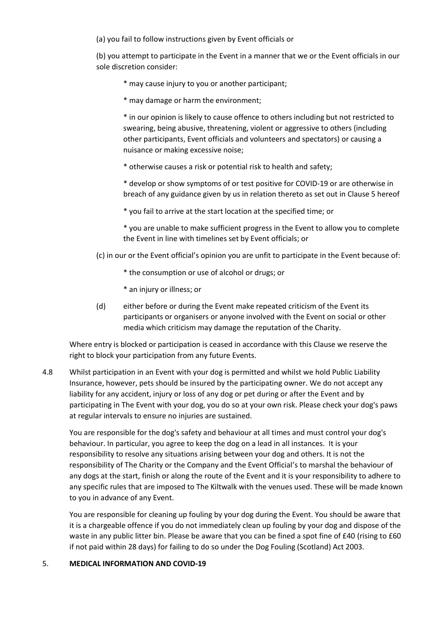(a) you fail to follow instructions given by Event officials or

(b) you attempt to participate in the Event in a manner that we or the Event officials in our sole discretion consider:

- \* may cause injury to you or another participant;
- \* may damage or harm the environment;

\* in our opinion is likely to cause offence to others including but not restricted to swearing, being abusive, threatening, violent or aggressive to others (including other participants, Event officials and volunteers and spectators) or causing a nuisance or making excessive noise;

\* otherwise causes a risk or potential risk to health and safety;

\* develop or show symptoms of or test positive for COVID-19 or are otherwise in breach of any guidance given by us in relation thereto as set out in Clause 5 hereof

\* you fail to arrive at the start location at the specified time; or

\* you are unable to make sufficient progress in the Event to allow you to complete the Event in line with timelines set by Event officials; or

(c) in our or the Event official's opinion you are unfit to participate in the Event because of:

- \* the consumption or use of alcohol or drugs; or
- \* an injury or illness; or
- (d) either before or during the Event make repeated criticism of the Event its participants or organisers or anyone involved with the Event on social or other media which criticism may damage the reputation of the Charity.

Where entry is blocked or participation is ceased in accordance with this Clause we reserve the right to block your participation from any future Events.

4.8 Whilst participation in an Event with your dog is permitted and whilst we hold Public Liability Insurance, however, pets should be insured by the participating owner. We do not accept any liability for any accident, injury or loss of any dog or pet during or after the Event and by participating in The Event with your dog, you do so at your own risk. Please check your dog's paws at regular intervals to ensure no injuries are sustained.

You are responsible for the dog's safety and behaviour at all times and must control your dog's behaviour. In particular, you agree to keep the dog on a lead in all instances. It is your responsibility to resolve any situations arising between your dog and others. It is not the responsibility of The Charity or the Company and the Event Official's to marshal the behaviour of any dogs at the start, finish or along the route of the Event and it is your responsibility to adhere to any specific rules that are imposed to The Kiltwalk with the venues used. These will be made known to you in advance of any Event.

You are responsible for cleaning up fouling by your dog during the Event. You should be aware that it is a chargeable offence if you do not immediately clean up fouling by your dog and dispose of the waste in any public litter bin. Please be aware that you can be fined a spot fine of £40 (rising to £60 if not paid within 28 days) for failing to do so under the Dog Fouling (Scotland) Act 2003.

#### 5. **MEDICAL INFORMATION AND COVID-19**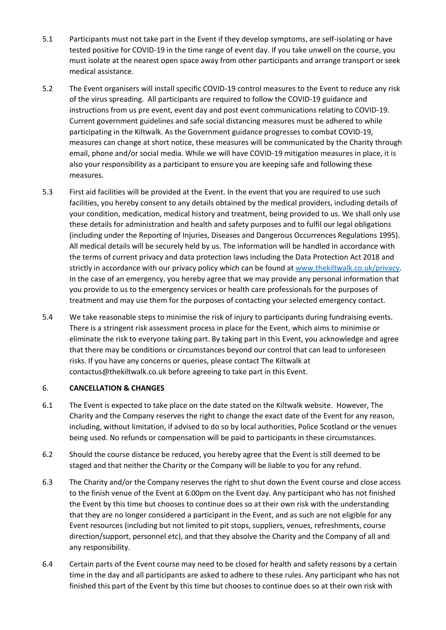- 5.1 Participants must not take part in the Event if they develop symptoms, are self-isolating or have tested positive for COVID-19 in the time range of event day. If you take unwell on the course, you must isolate at the nearest open space away from other participants and arrange transport or seek medical assistance.
- 5.2 The Event organisers will install specific COVID-19 control measures to the Event to reduce any risk of the virus spreading. All participants are required to follow the COVID-19 guidance and instructions from us pre event, event day and post event communications relating to COVID-19. Current government guidelines and safe social distancing measures must be adhered to while participating in the Kiltwalk. As the Government guidance progresses to combat COVID-19, measures can change at short notice, these measures will be communicated by the Charity through email, phone and/or social media. While we will have COVID-19 mitigation measures in place, it is also your responsibility as a participant to ensure you are keeping safe and following these measures.
- 5.3 First aid facilities will be provided at the Event. In the event that you are required to use such facilities, you hereby consent to any details obtained by the medical providers, including details of your condition, medication, medical history and treatment, being provided to us. We shall only use these details for administration and health and safety purposes and to fulfil our legal obligations (including under the Reporting of Injuries, Diseases and Dangerous Occurrences Regulations 1995). All medical details will be securely held by us. The information will be handled in accordance with the terms of current privacy and data protection laws including the Data Protection Act 2018 and strictly in accordance with our privacy policy which can be found a[t www.thekiltwalk.co.uk/privacy.](http://www.thekiltwalk.co.uk/privacy) In the case of an emergency, you hereby agree that we may provide any personal information that you provide to us to the emergency services or health care professionals for the purposes of treatment and may use them for the purposes of contacting your selected emergency contact.
- 5.4 We take reasonable steps to minimise the risk of injury to participants during fundraising events. There is a stringent risk assessment process in place for the Event, which aims to minimise or eliminate the risk to everyone taking part. By taking part in this Event, you acknowledge and agree that there may be conditions or circumstances beyond our control that can lead to unforeseen risks. If you have any concerns or queries, please contact The Kiltwalk at contactus@thekiltwalk.co.uk before agreeing to take part in this Event.

## 6. **CANCELLATION & CHANGES**

- 6.1 The Event is expected to take place on the date stated on the Kiltwalk website. However, The Charity and the Company reserves the right to change the exact date of the Event for any reason, including, without limitation, if advised to do so by local authorities, Police Scotland or the venues being used. No refunds or compensation will be paid to participants in these circumstances.
- 6.2 Should the course distance be reduced, you hereby agree that the Event is still deemed to be staged and that neither the Charity or the Company will be liable to you for any refund.
- 6.3 The Charity and/or the Company reserves the right to shut down the Event course and close access to the finish venue of the Event at 6.00pm on the Event day. Any participant who has not finished the Event by this time but chooses to continue does so at their own risk with the understanding that they are no longer considered a participant in the Event, and as such are not eligible for any Event resources (including but not limited to pit stops, suppliers, venues, refreshments, course direction/support, personnel etc), and that they absolve the Charity and the Company of all and any responsibility.
- 6.4 Certain parts of the Event course may need to be closed for health and safety reasons by a certain time in the day and all participants are asked to adhere to these rules. Any participant who has not finished this part of the Event by this time but chooses to continue does so at their own risk with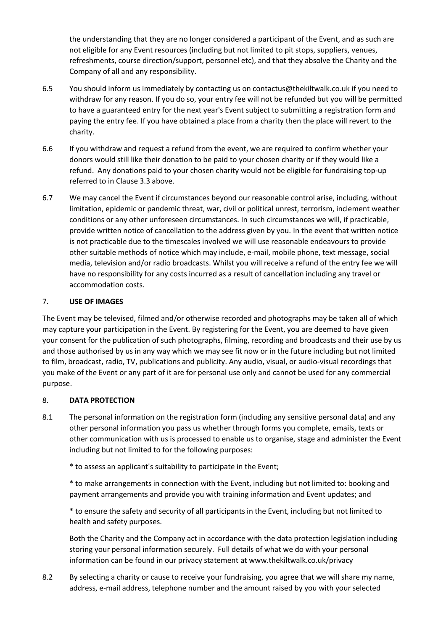the understanding that they are no longer considered a participant of the Event, and as such are not eligible for any Event resources (including but not limited to pit stops, suppliers, venues, refreshments, course direction/support, personnel etc), and that they absolve the Charity and the Company of all and any responsibility.

- 6.5 You should inform us immediately by contacting us on contactus@thekiltwalk.co.uk if you need to withdraw for any reason. If you do so, your entry fee will not be refunded but you will be permitted to have a guaranteed entry for the next year's Event subject to submitting a registration form and paying the entry fee. If you have obtained a place from a charity then the place will revert to the charity.
- 6.6 If you withdraw and request a refund from the event, we are required to confirm whether your donors would still like their donation to be paid to your chosen charity or if they would like a refund. Any donations paid to your chosen charity would not be eligible for fundraising top-up referred to in Clause 3.3 above.
- 6.7 We may cancel the Event if circumstances beyond our reasonable control arise, including, without limitation, epidemic or pandemic threat, war, civil or political unrest, terrorism, inclement weather conditions or any other unforeseen circumstances. In such circumstances we will, if practicable, provide written notice of cancellation to the address given by you. In the event that written notice is not practicable due to the timescales involved we will use reasonable endeavours to provide other suitable methods of notice which may include, e-mail, mobile phone, text message, social media, television and/or radio broadcasts. Whilst you will receive a refund of the entry fee we will have no responsibility for any costs incurred as a result of cancellation including any travel or accommodation costs.

#### 7. **USE OF IMAGES**

The Event may be televised, filmed and/or otherwise recorded and photographs may be taken all of which may capture your participation in the Event. By registering for the Event, you are deemed to have given your consent for the publication of such photographs, filming, recording and broadcasts and their use by us and those authorised by us in any way which we may see fit now or in the future including but not limited to film, broadcast, radio, TV, publications and publicity. Any audio, visual, or audio-visual recordings that you make of the Event or any part of it are for personal use only and cannot be used for any commercial purpose.

#### 8. **DATA PROTECTION**

- 8.1 The personal information on the registration form (including any sensitive personal data) and any other personal information you pass us whether through forms you complete, emails, texts or other communication with us is processed to enable us to organise, stage and administer the Event including but not limited to for the following purposes:
	- \* to assess an applicant's suitability to participate in the Event;

\* to make arrangements in connection with the Event, including but not limited to: booking and payment arrangements and provide you with training information and Event updates; and

\* to ensure the safety and security of all participants in the Event, including but not limited to health and safety purposes.

Both the Charity and the Company act in accordance with the data protection legislation including storing your personal information securely. Full details of what we do with your personal information can be found in our privacy statement at www.thekiltwalk.co.uk/privacy

8.2 By selecting a charity or cause to receive your fundraising, you agree that we will share my name, address, e-mail address, telephone number and the amount raised by you with your selected